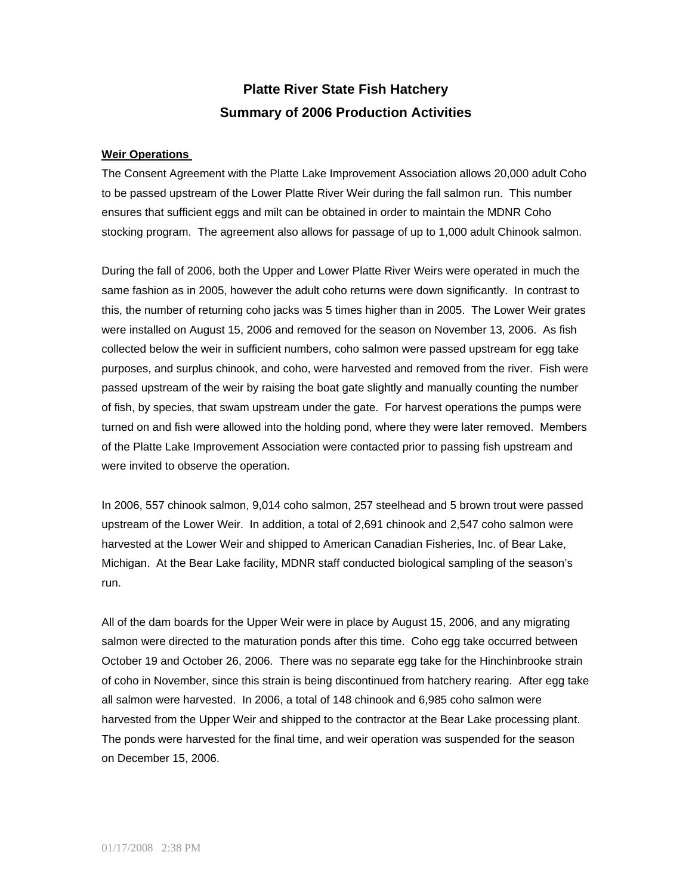# **Platte River State Fish Hatchery Summary of 2006 Production Activities**

### **Weir Operations**

The Consent Agreement with the Platte Lake Improvement Association allows 20,000 adult Coho to be passed upstream of the Lower Platte River Weir during the fall salmon run. This number ensures that sufficient eggs and milt can be obtained in order to maintain the MDNR Coho stocking program. The agreement also allows for passage of up to 1,000 adult Chinook salmon.

During the fall of 2006, both the Upper and Lower Platte River Weirs were operated in much the same fashion as in 2005, however the adult coho returns were down significantly. In contrast to this, the number of returning coho jacks was 5 times higher than in 2005. The Lower Weir grates were installed on August 15, 2006 and removed for the season on November 13, 2006. As fish collected below the weir in sufficient numbers, coho salmon were passed upstream for egg take purposes, and surplus chinook, and coho, were harvested and removed from the river. Fish were passed upstream of the weir by raising the boat gate slightly and manually counting the number of fish, by species, that swam upstream under the gate. For harvest operations the pumps were turned on and fish were allowed into the holding pond, where they were later removed. Members of the Platte Lake Improvement Association were contacted prior to passing fish upstream and were invited to observe the operation.

In 2006, 557 chinook salmon, 9,014 coho salmon, 257 steelhead and 5 brown trout were passed upstream of the Lower Weir. In addition, a total of 2,691 chinook and 2,547 coho salmon were harvested at the Lower Weir and shipped to American Canadian Fisheries, Inc. of Bear Lake, Michigan. At the Bear Lake facility, MDNR staff conducted biological sampling of the season's run.

All of the dam boards for the Upper Weir were in place by August 15, 2006, and any migrating salmon were directed to the maturation ponds after this time. Coho egg take occurred between October 19 and October 26, 2006. There was no separate egg take for the Hinchinbrooke strain of coho in November, since this strain is being discontinued from hatchery rearing. After egg take all salmon were harvested. In 2006, a total of 148 chinook and 6,985 coho salmon were harvested from the Upper Weir and shipped to the contractor at the Bear Lake processing plant. The ponds were harvested for the final time, and weir operation was suspended for the season on December 15, 2006.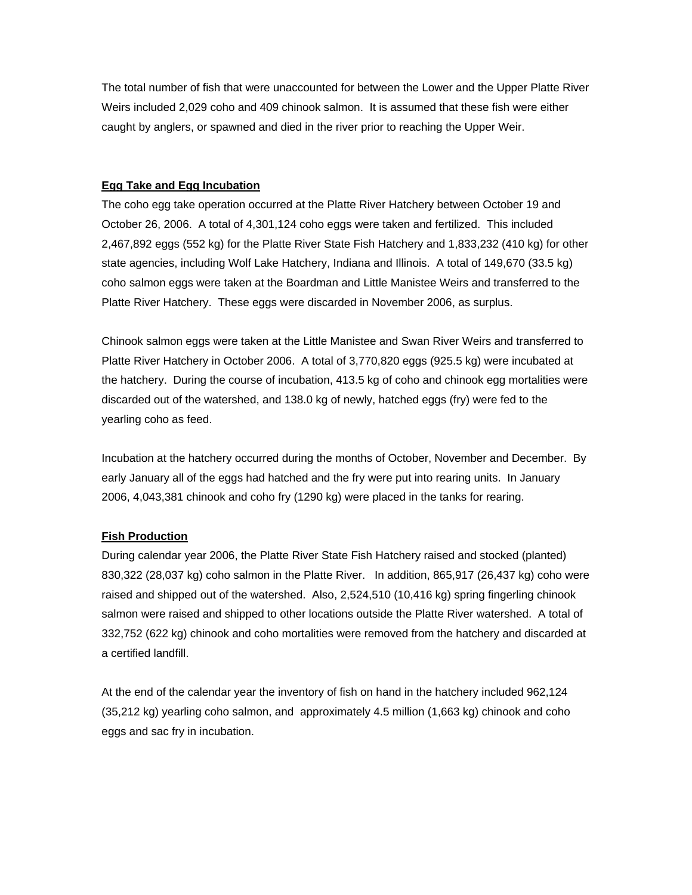The total number of fish that were unaccounted for between the Lower and the Upper Platte River Weirs included 2,029 coho and 409 chinook salmon. It is assumed that these fish were either caught by anglers, or spawned and died in the river prior to reaching the Upper Weir.

## **Egg Take and Egg Incubation**

The coho egg take operation occurred at the Platte River Hatchery between October 19 and October 26, 2006. A total of 4,301,124 coho eggs were taken and fertilized. This included 2,467,892 eggs (552 kg) for the Platte River State Fish Hatchery and 1,833,232 (410 kg) for other state agencies, including Wolf Lake Hatchery, Indiana and Illinois. A total of 149,670 (33.5 kg) coho salmon eggs were taken at the Boardman and Little Manistee Weirs and transferred to the Platte River Hatchery. These eggs were discarded in November 2006, as surplus.

Chinook salmon eggs were taken at the Little Manistee and Swan River Weirs and transferred to Platte River Hatchery in October 2006. A total of 3,770,820 eggs (925.5 kg) were incubated at the hatchery. During the course of incubation, 413.5 kg of coho and chinook egg mortalities were discarded out of the watershed, and 138.0 kg of newly, hatched eggs (fry) were fed to the yearling coho as feed.

Incubation at the hatchery occurred during the months of October, November and December. By early January all of the eggs had hatched and the fry were put into rearing units. In January 2006, 4,043,381 chinook and coho fry (1290 kg) were placed in the tanks for rearing.

#### **Fish Production**

During calendar year 2006, the Platte River State Fish Hatchery raised and stocked (planted) 830,322 (28,037 kg) coho salmon in the Platte River. In addition, 865,917 (26,437 kg) coho were raised and shipped out of the watershed. Also, 2,524,510 (10,416 kg) spring fingerling chinook salmon were raised and shipped to other locations outside the Platte River watershed. A total of 332,752 (622 kg) chinook and coho mortalities were removed from the hatchery and discarded at a certified landfill.

At the end of the calendar year the inventory of fish on hand in the hatchery included 962,124 (35,212 kg) yearling coho salmon, and approximately 4.5 million (1,663 kg) chinook and coho eggs and sac fry in incubation.